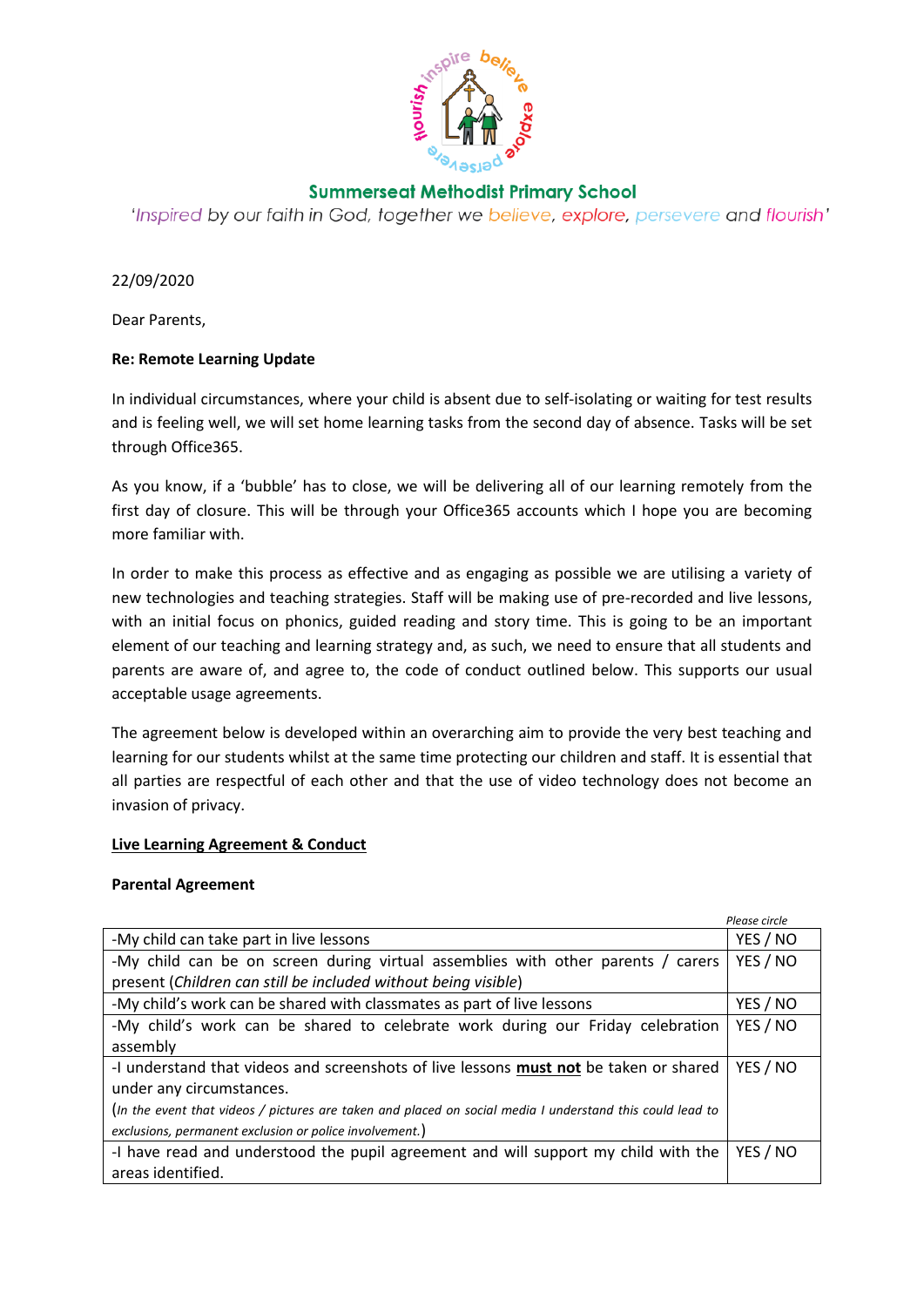

# **Summerseat Methodist Primary School**

'Inspired by our faith in God, together we believe, explore, persevere and flourish'

22/09/2020

Dear Parents,

## **Re: Remote Learning Update**

In individual circumstances, where your child is absent due to self-isolating or waiting for test results and is feeling well, we will set home learning tasks from the second day of absence. Tasks will be set through Office365.

As you know, if a 'bubble' has to close, we will be delivering all of our learning remotely from the first day of closure. This will be through your Office365 accounts which I hope you are becoming more familiar with.

In order to make this process as effective and as engaging as possible we are utilising a variety of new technologies and teaching strategies. Staff will be making use of pre-recorded and live lessons, with an initial focus on phonics, guided reading and story time. This is going to be an important element of our teaching and learning strategy and, as such, we need to ensure that all students and parents are aware of, and agree to, the code of conduct outlined below. This supports our usual acceptable usage agreements.

The agreement below is developed within an overarching aim to provide the very best teaching and learning for our students whilst at the same time protecting our children and staff. It is essential that all parties are respectful of each other and that the use of video technology does not become an invasion of privacy.

### **Live Learning Agreement & Conduct**

### **Parental Agreement**

|                                                                                                           | Please circle |
|-----------------------------------------------------------------------------------------------------------|---------------|
| -My child can take part in live lessons                                                                   | YES / NO      |
| -My child can be on screen during virtual assemblies with other parents / carers                          | YES / NO      |
| present (Children can still be included without being visible)                                            |               |
| -My child's work can be shared with classmates as part of live lessons                                    | YES / NO      |
| -My child's work can be shared to celebrate work during our Friday celebration                            | YES / NO      |
| assembly                                                                                                  |               |
| -I understand that videos and screenshots of live lessons <b>must not</b> be taken or shared              | YES / NO      |
| under any circumstances.                                                                                  |               |
| (In the event that videos / pictures are taken and placed on social media I understand this could lead to |               |
| exclusions, permanent exclusion or police involvement.)                                                   |               |
| -I have read and understood the pupil agreement and will support my child with the                        | YES / NO      |
| areas identified.                                                                                         |               |